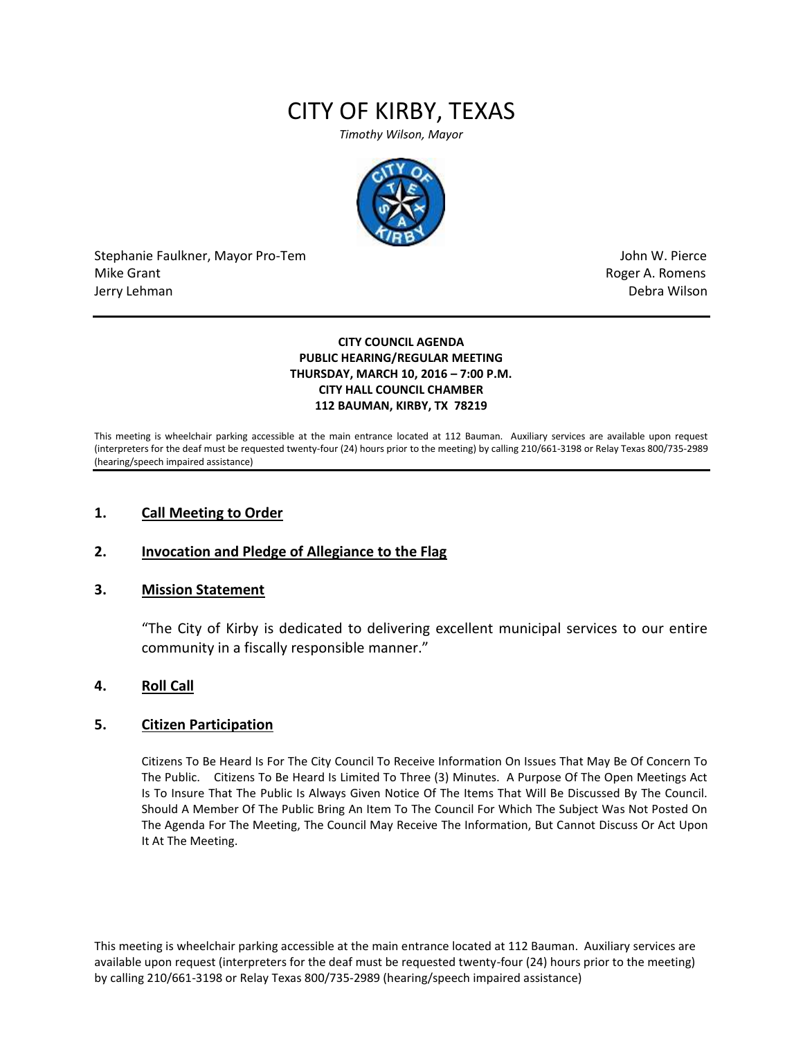# CITY OF KIRBY, TEXAS

*Timothy Wilson, Mayor*



Stephanie Faulkner, Mayor Pro-Tem John W. Pierce Mike Grant **Mike Grant** Roger A. Romens and Roger A. Romens and Roger A. Romens and Roger A. Romens and Roger A. Romens and Roger A. Romens and Roger A. Romens and Roger A. Romens and Roger A. Romens and Roger A. Romens an Jerry Lehman Debra Wilson

#### **CITY COUNCIL AGENDA PUBLIC HEARING/REGULAR MEETING THURSDAY, MARCH 10, 2016 – 7:00 P.M. CITY HALL COUNCIL CHAMBER 112 BAUMAN, KIRBY, TX 78219**

This meeting is wheelchair parking accessible at the main entrance located at 112 Bauman. Auxiliary services are available upon request (interpreters for the deaf must be requested twenty-four (24) hours prior to the meeting) by calling 210/661-3198 or Relay Texas 800/735-2989 (hearing/speech impaired assistance)

#### **1. Call Meeting to Order**

#### **2. Invocation and Pledge of Allegiance to the Flag**

#### **3. Mission Statement**

"The City of Kirby is dedicated to delivering excellent municipal services to our entire community in a fiscally responsible manner."

#### **4. Roll Call**

#### **5. Citizen Participation**

Citizens To Be Heard Is For The City Council To Receive Information On Issues That May Be Of Concern To The Public. Citizens To Be Heard Is Limited To Three (3) Minutes. A Purpose Of The Open Meetings Act Is To Insure That The Public Is Always Given Notice Of The Items That Will Be Discussed By The Council. Should A Member Of The Public Bring An Item To The Council For Which The Subject Was Not Posted On The Agenda For The Meeting, The Council May Receive The Information, But Cannot Discuss Or Act Upon It At The Meeting.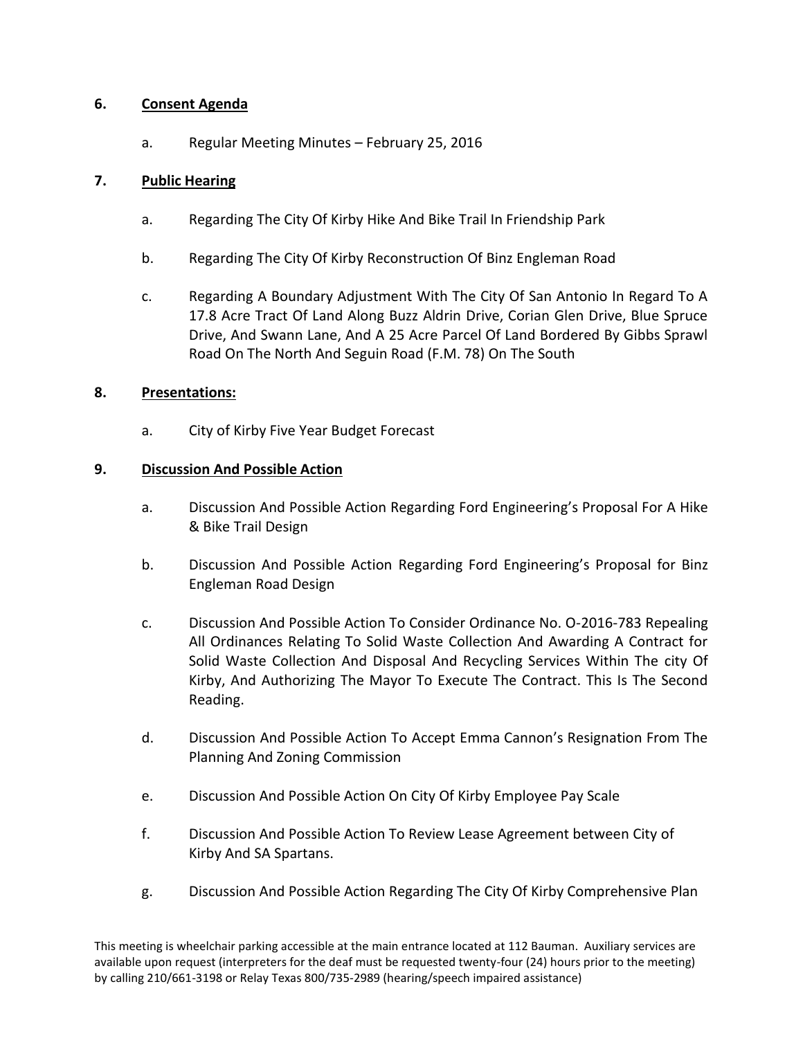## **6. Consent Agenda**

a. Regular Meeting Minutes – February 25, 2016

## **7. Public Hearing**

- a. Regarding The City Of Kirby Hike And Bike Trail In Friendship Park
- b. Regarding The City Of Kirby Reconstruction Of Binz Engleman Road
- c. Regarding A Boundary Adjustment With The City Of San Antonio In Regard To A 17.8 Acre Tract Of Land Along Buzz Aldrin Drive, Corian Glen Drive, Blue Spruce Drive, And Swann Lane, And A 25 Acre Parcel Of Land Bordered By Gibbs Sprawl Road On The North And Seguin Road (F.M. 78) On The South

#### **8. Presentations:**

a. City of Kirby Five Year Budget Forecast

## **9. Discussion And Possible Action**

- a. Discussion And Possible Action Regarding Ford Engineering's Proposal For A Hike & Bike Trail Design
- b. Discussion And Possible Action Regarding Ford Engineering's Proposal for Binz Engleman Road Design
- c. Discussion And Possible Action To Consider Ordinance No. O-2016-783 Repealing All Ordinances Relating To Solid Waste Collection And Awarding A Contract for Solid Waste Collection And Disposal And Recycling Services Within The city Of Kirby, And Authorizing The Mayor To Execute The Contract. This Is The Second Reading.
- d. Discussion And Possible Action To Accept Emma Cannon's Resignation From The Planning And Zoning Commission
- e. Discussion And Possible Action On City Of Kirby Employee Pay Scale
- f. Discussion And Possible Action To Review Lease Agreement between City of Kirby And SA Spartans.
- g. Discussion And Possible Action Regarding The City Of Kirby Comprehensive Plan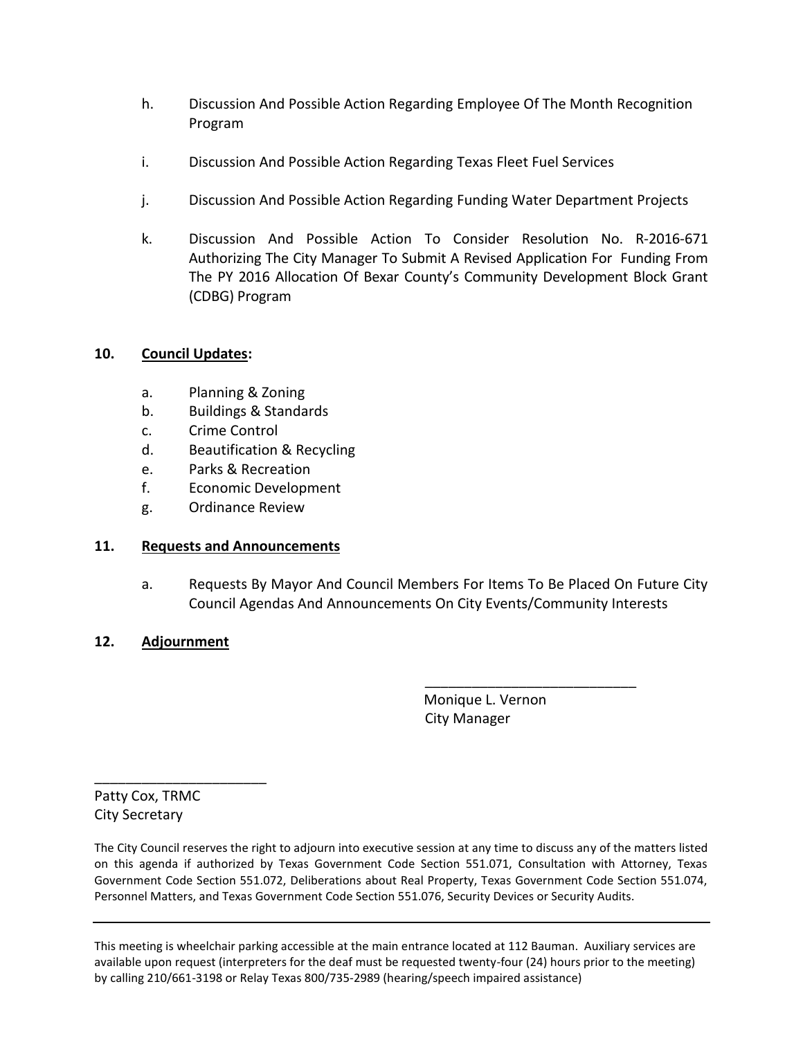- h. Discussion And Possible Action Regarding Employee Of The Month Recognition Program
- i. Discussion And Possible Action Regarding Texas Fleet Fuel Services
- j. Discussion And Possible Action Regarding Funding Water Department Projects
- k. Discussion And Possible Action To Consider Resolution No. R-2016-671 Authorizing The City Manager To Submit A Revised Application For Funding From The PY 2016 Allocation Of Bexar County's Community Development Block Grant (CDBG) Program

# **10. Council Updates:**

- a. Planning & Zoning
- b. Buildings & Standards
- c. Crime Control
- d. Beautification & Recycling
- e. Parks & Recreation
- f. Economic Development
- g. Ordinance Review

# **11. Requests and Announcements**

a. Requests By Mayor And Council Members For Items To Be Placed On Future City Council Agendas And Announcements On City Events/Community Interests

# **12. Adjournment**

 Monique L. Vernon City Manager

\_\_\_\_\_\_\_\_\_\_\_\_\_\_\_\_\_\_\_\_\_\_\_\_\_\_\_

Patty Cox, TRMC City Secretary

\_\_\_\_\_\_\_\_\_\_\_\_\_\_\_\_\_\_\_\_\_\_

The City Council reserves the right to adjourn into executive session at any time to discuss any of the matters listed on this agenda if authorized by Texas Government Code Section 551.071, Consultation with Attorney, Texas Government Code Section 551.072, Deliberations about Real Property, Texas Government Code Section 551.074, Personnel Matters, and Texas Government Code Section 551.076, Security Devices or Security Audits.